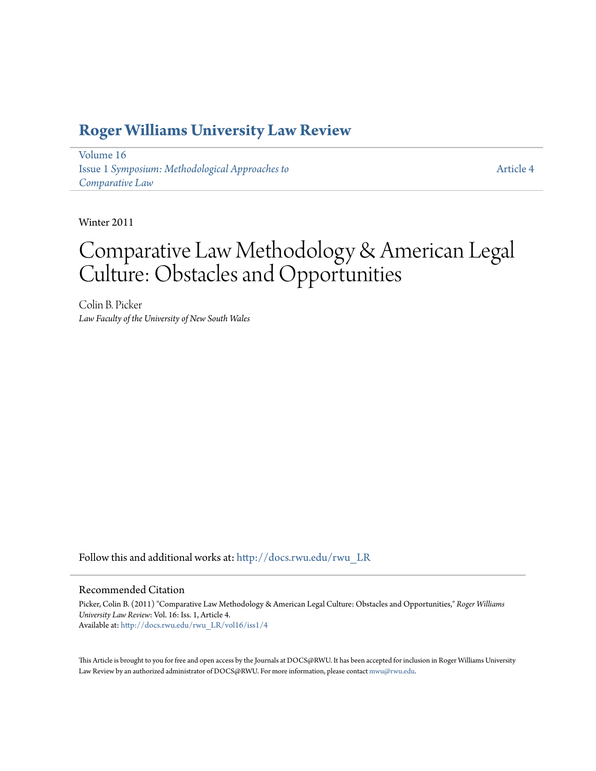### **[Roger Williams University Law Review](http://docs.rwu.edu/rwu_LR?utm_source=docs.rwu.edu%2Frwu_LR%2Fvol16%2Fiss1%2F4&utm_medium=PDF&utm_campaign=PDFCoverPages)**

[Volume 16](http://docs.rwu.edu/rwu_LR/vol16?utm_source=docs.rwu.edu%2Frwu_LR%2Fvol16%2Fiss1%2F4&utm_medium=PDF&utm_campaign=PDFCoverPages) Issue 1 *[Symposium: Methodological Approaches to](http://docs.rwu.edu/rwu_LR/vol16/iss1?utm_source=docs.rwu.edu%2Frwu_LR%2Fvol16%2Fiss1%2F4&utm_medium=PDF&utm_campaign=PDFCoverPages) [Comparative Law](http://docs.rwu.edu/rwu_LR/vol16/iss1?utm_source=docs.rwu.edu%2Frwu_LR%2Fvol16%2Fiss1%2F4&utm_medium=PDF&utm_campaign=PDFCoverPages)*

[Article 4](http://docs.rwu.edu/rwu_LR/vol16/iss1/4?utm_source=docs.rwu.edu%2Frwu_LR%2Fvol16%2Fiss1%2F4&utm_medium=PDF&utm_campaign=PDFCoverPages)

Winter 2011

# Comparative Law Methodology & American Legal Culture: Obstacles and Opportunities

Colin B. Picker *Law Faculty of the University of New South Wales*

Follow this and additional works at: [http://docs.rwu.edu/rwu\\_LR](http://docs.rwu.edu/rwu_LR?utm_source=docs.rwu.edu%2Frwu_LR%2Fvol16%2Fiss1%2F4&utm_medium=PDF&utm_campaign=PDFCoverPages)

#### Recommended Citation

Picker, Colin B. (2011) "Comparative Law Methodology & American Legal Culture: Obstacles and Opportunities," *Roger Williams University Law Review*: Vol. 16: Iss. 1, Article 4. Available at: [http://docs.rwu.edu/rwu\\_LR/vol16/iss1/4](http://docs.rwu.edu/rwu_LR/vol16/iss1/4?utm_source=docs.rwu.edu%2Frwu_LR%2Fvol16%2Fiss1%2F4&utm_medium=PDF&utm_campaign=PDFCoverPages)

This Article is brought to you for free and open access by the Journals at DOCS@RWU. It has been accepted for inclusion in Roger Williams University Law Review by an authorized administrator of DOCS@RWU. For more information, please contact [mwu@rwu.edu](mailto:mwu@rwu.edu).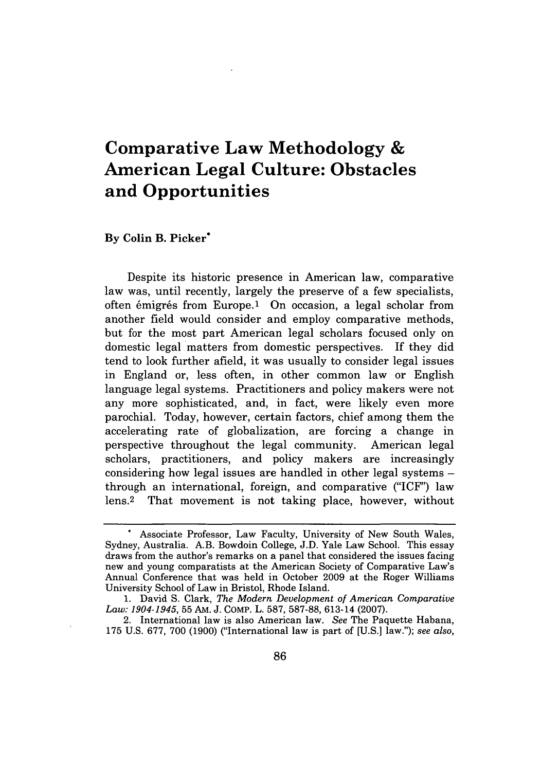## **Comparative Law Methodology & American Legal Culture: Obstacles and Opportunities**

#### **By Colin B. Picker\***

Despite its historic presence in American law, comparative law was, until recently, largely the preserve of a few specialists, often émigrés from Europe.<sup>1</sup> On occasion, a legal scholar from another field would consider and employ comparative methods, but for the most part American legal scholars focused only on domestic legal matters from domestic perspectives. **If** they did tend to look further afield, it was usually to consider legal issues in England or, less often, in other common law or English language legal systems. Practitioners and policy makers were not any more sophisticated, and, in fact, were likely even more parochial. Today, however, certain factors, chief among them the accelerating rate of globalization, are forcing a change in perspective throughout the legal community. American legal scholars, practitioners, and policy makers are increasingly considering how legal issues are handled in other legal systems  through an international, foreign, and comparative **("ICF')** law lens.<sup>2</sup> That movement is not taking place, however, without

**<sup>\*</sup>** Associate Professor, Law Faculty, University of New South Wales, Sydney, Australia. A.B. Bowdoin College, **J.D.** Yale Law School. This essay draws from the author's remarks on a panel that considered the issues facing new and young comparatists at the American Society of Comparative Law's Annual Conference that was held in October **2009** at the Roger Williams University School of Law in Bristol, Rhode Island.

<sup>1.</sup> David S. Clark, *The Modern Development of American Comparative Law: 1904-1945,* 55 AM. J. COMP. L. 587, 587-88, 613-14 (2007).

<sup>2.</sup> International law is also American law. *See* The Paquette Habana, 175 U.S. 677, 700 (1900) ("International law is part of [U.S.] law."); *see also,*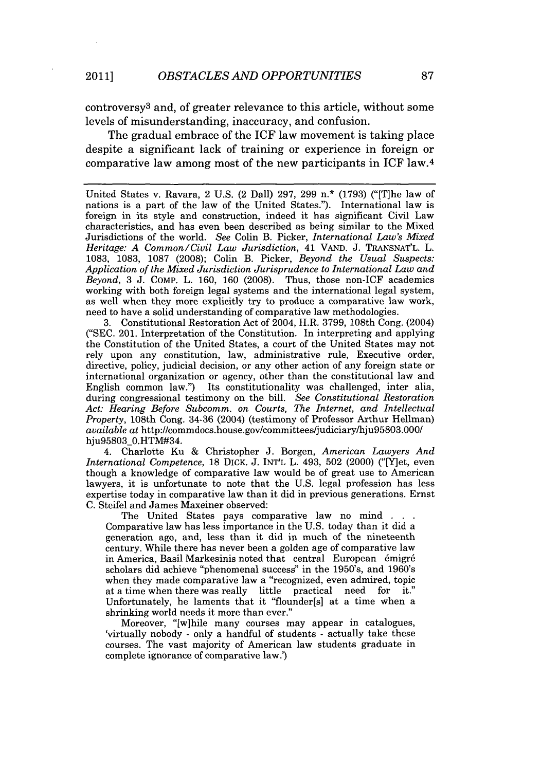controversy<sup>3</sup> and, of greater relevance to this article, without some levels of misunderstanding, inaccuracy, and confusion.

The gradual embrace of the ICF law movement is taking place despite a significant lack of training or experience in foreign or comparative law among most of the new participants in ICF law. <sup>4</sup>

United States v. Ravara, 2 U.S. (2 Dall) 297, 299 n.\* (1793) ("[T]he law of nations is a part of the law of the United States."). International law is foreign in its style and construction, indeed it has significant Civil Law characteristics, and has even been described as being similar to the Mixed Jurisdictions of the world. *See* Colin B. Picker, *International Law's Mixed Heritage: A Common/Civil Law Jurisdiction,* 41 VAND. J. TRANSNAT'L. L. 1083, 1083, 1087 (2008); Colin B. Picker, *Beyond the Usual Suspects: Application of the Mixed Jurisdiction Jurisprudence to International Law and Beyond,* 3 J. COMP. L. 160, 160 (2008). Thus, those non-ICF academics working with both foreign legal systems and the international legal system, as well when they more explicitly try to produce a comparative law work, need to have a solid understanding of comparative law methodologies.

3. Constitutional Restoration Act of 2004, H.R. 3799, 108th Cong. (2004) ("SEC. 201. Interpretation of the Constitution. In interpreting and applying the Constitution of the United States, a court of the United States may not rely upon any constitution, law, administrative rule, Executive order, directive, policy, judicial decision, or any other action of any foreign state or international organization or agency, other than the constitutional law and English common law.") Its constitutionality was challenged, inter alia, during congressional testimony on the bill. *See Constitutional Restoration Act: Hearing Before Subcomm. on Courts, The Internet, and Intellectual Property,* 108th Cong. 34-36 (2004) (testimony of Professor Arthur Hellman) *available at* http://commdocs.house.gov/committees/judiciary/hju95803.000/ hju95803\_0.HTM#34.

4. Charlotte Ku & Christopher J. Borgen, *American Lawyers And International Competence,* 18 DICK. J. INT'L L. 493, 502 (2000) ("[Y]et, even though a knowledge of comparative law would be of great use to American lawyers, it is unfortunate to note that the U.S. legal profession has less expertise today in comparative law than it did in previous generations. Ernst C. Steifel and James Maxeiner observed:

The United States pays comparative law no mind Comparative law has less importance in the U.S. today than it did a generation ago, and, less than it did in much of the nineteenth century. While there has never been a golden age of comparative law in America, Basil Markesinis noted that central European émigré scholars did achieve "phenomenal success" in the 1950's, and 1960's when they made comparative law a "recognized, even admired, topic<br>at a time when there was really little practical need for it." at a time when there was really little Unfortunately, he laments that it "flounder[s] at a time when a shrinking world needs it more than ever."

Moreover, "[wihile many courses may appear in catalogues, 'virtually nobody **-** only a handful of students - actually take these courses. The vast majority of American law students graduate in complete ignorance of comparative law.')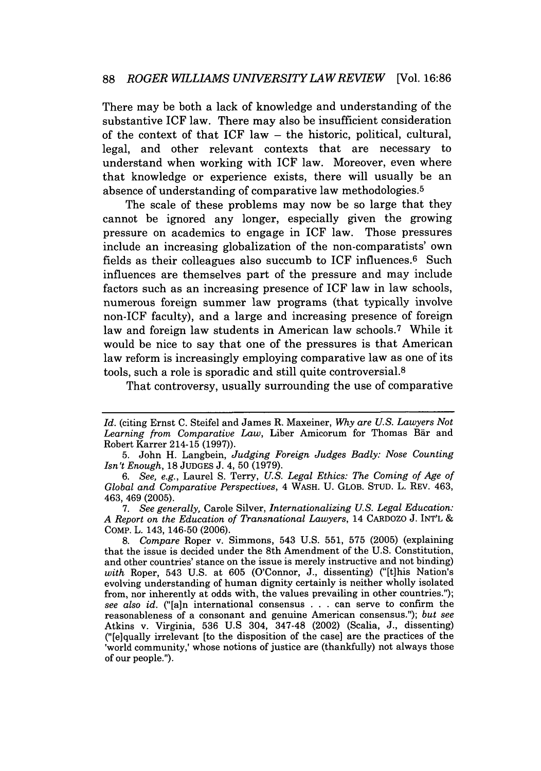There may be both a lack of knowledge and understanding of the substantive ICF law. There may also be insufficient consideration of the context of that  $ICF$  law  $-$  the historic, political, cultural, legal, and other relevant contexts that are necessary to understand when working with ICF law. Moreover, even where that knowledge or experience exists, there will usually be an absence of understanding of comparative law methodologies. <sup>5</sup>

The scale of these problems may now be so large that they cannot be ignored any longer, especially given the growing pressure on academics to engage in ICF law. Those pressures include an increasing globalization of the non-comparatists' own fields as their colleagues also succumb to ICF influences.<sup>6</sup> Such influences are themselves part of the pressure and may include factors such as an increasing presence of ICF law in law schools, numerous foreign summer law programs (that typically involve non-ICF faculty), and a large and increasing presence of foreign law and foreign law students in American law schools.<sup>7</sup> While it would be nice to say that one of the pressures is that American law reform is increasingly employing comparative law as one of its tools, such a role is sporadic and still quite controversial.<sup>8</sup>

That controversy, usually surrounding the use of comparative

*Id.* (citing Ernst C. Steifel and James R. Maxeiner, Why are *U.S. Lawyers Not* Learning from Comparative Law, Liber Amicorum for Thomas Bär and Robert Karrer 214-15 (1997)).

<sup>5.</sup> John H. Langbein, *Judging Foreign Judges Badly: Nose Counting Isn't Enough,* 18 JUDGES J. 4, 50 (1979).

*<sup>6.</sup> See, e.g.,* Laurel S. Terry, *U.S. Legal Ethics: The Coming of Age of Global and Comparative Perspectives,* 4 WASH. U. GLOB. STUD. L. REV. 463, 463, 469 (2005).

<sup>7.</sup> *See generally,* Carole Silver, *Internationalizing U.S. Legal Education: A Report on the Education* of *Transnational Lawyers,* 14 CARDOZO J. INT'L **&** COMp. L. 143, 146-50 (2006).

<sup>8.</sup> *Compare* Roper v. Simmons, 543 U.S. 551, 575 (2005) (explaining that the issue is decided under the 8th Amendment of the U.S. Constitution, and other countries' stance on the issue is merely instructive and not binding) *with* Roper, 543 U.S. at 605 (O'Connor, J., dissenting) ("[t]his Nation's evolving understanding of human dignity certainly is neither wholly isolated from, nor inherently at odds with, the values prevailing in other countries."); *see also id.* ("[a]n international consensus . . . can serve to confirm the reasonableness of a consonant and genuine American consensus."); *but see* Atkins v. Virginia, 536 U.S 304, 347-48 (2002) (Scalia, J., dissenting) ("[e]qually irrelevant [to the disposition of the case] are the practices of the 'world community,' whose notions of justice are (thankfully) not always those of our people.").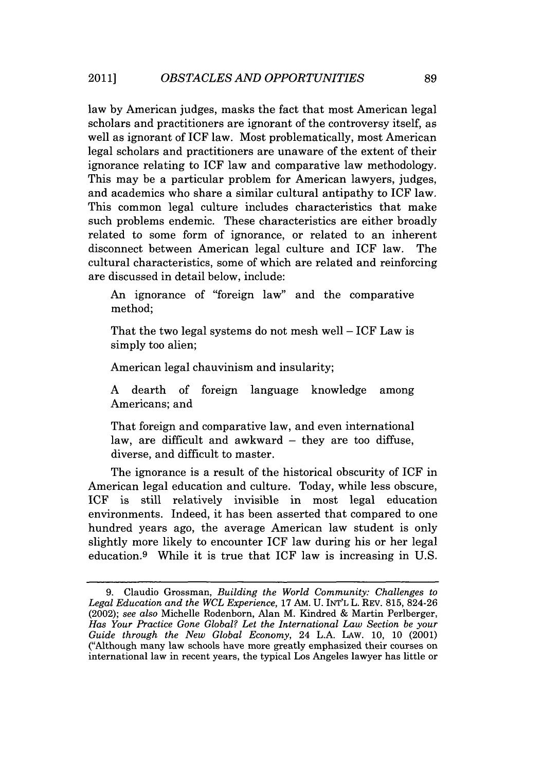law by American judges, masks the fact that most American legal scholars and practitioners are ignorant of the controversy itself, as well as ignorant of ICF law. Most problematically, most American legal scholars and practitioners are unaware of the extent of their ignorance relating to **ICF** law and comparative law methodology. This may be a particular problem for American lawyers, judges, and academics who share a similar cultural antipathy to ICF law. This common legal culture includes characteristics that make such problems endemic. These characteristics are either broadly related to some form of ignorance, or related to an inherent disconnect between American legal culture and ICF law. The cultural characteristics, some of which are related and reinforcing are discussed in detail below, include:

An ignorance of "foreign law" and the comparative method;

That the two legal systems do not mesh well  $-$  ICF Law is simply too alien;

American legal chauvinism and insularity;

A dearth of foreign language knowledge among Americans; and

That foreign and comparative law, and even international law, are difficult and awkward  $-$  they are too diffuse, diverse, and difficult to master.

The ignorance is a result of the historical obscurity of ICF in American legal education and culture. Today, while less obscure, ICF is still relatively invisible in most legal education environments. Indeed, it has been asserted that compared to one hundred years ago, the average American law student is only slightly more likely to encounter ICF law during his or her legal education.<sup>9</sup> While it is true that ICF law is increasing in U.S.

<sup>9.</sup> Claudio Grossman, *Building the World Community: Challenges to Legal Education and the WCL Experience,* 17 AM. U. INT'L L. REV. 815, 824-26 (2002); *see also* Michelle Rodenborn, Alan M. Kindred & Martin Perlberger, *Has Your Practice Gone Global? Let the International Law Section be your Guide through the New Global Economy,* 24 L.A. LAW. 10, 10 (2001) ("Although many law schools have more greatly emphasized their courses on international law in recent years, the typical Los Angeles lawyer has little or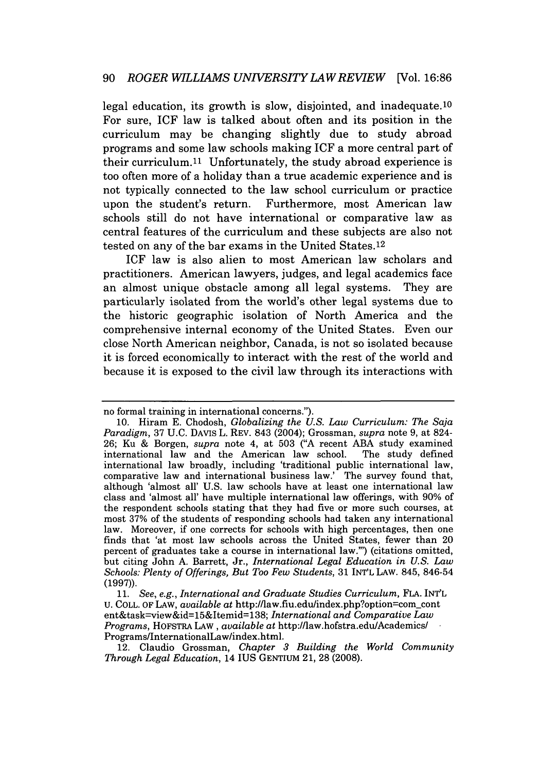legal education, its growth is slow, disjointed, and inadequate. $10$ For sure, ICF law is talked about often and its position in the curriculum may be changing slightly due to study abroad programs and some law schools making **ICF** a more central part of their curriculum.<sup>11</sup> Unfortunately, the study abroad experience is too often more of a holiday than a true academic experience and is not typically connected to the law school curriculum or practice upon the student's return. Furthermore, most American law schools still do not have international or comparative law as central features of the curriculum and these subjects are also not tested on any of the bar exams in the United States.<sup>12</sup>

ICF law is also alien to most American law scholars and practitioners. American lawyers, judges, and legal academics face an almost unique obstacle among all legal systems. They are particularly isolated from the world's other legal systems due to the historic geographic isolation of North America and the comprehensive internal economy of the United States. Even our close North American neighbor, Canada, is not so isolated because it is forced economically to interact with the rest of the world and because it is exposed to the civil law through its interactions with

no formal training in international concerns.").

<sup>10.</sup> Hiram E. Chodosh, *Globalizing the U.S. Law Curriculum: The Saja Paradigm,* 37 U.C. DAVIs L. REV. 843 (2004); Grossman, *supra* note 9, at 824- 26; Ku & Borgen, *supra* note 4, at 503 ("A recent ABA study examined international law and the American law school. international law broadly, including 'traditional public international law, comparative law and international business law.' The survey found that, although 'almost all' U.S. law schools have at least one international law class and 'almost all' have multiple international law offerings, with 90% of the respondent schools stating that they had five or more such courses, at most 37% of the students of responding schools had taken any international law. Moreover, if one corrects for schools with high percentages, then one finds that 'at most law schools across the United States, fewer than 20 percent of graduates take a course in international law."') (citations omitted, but citing John A. Barrett, Jr., *International Legal Education in U.S. Law Schools: Plenty of Offerings, But Too Few Students,* 31 INT'L LAW. 845, 846-54 **(1997)).**

*<sup>11.</sup> See, e.g., International and Graduate Studies Curriculum,* FLA. INT'L U. COLL. OF LAW, *available at* http://law.fiu.edu/index.php?option=comcont ent&task--view&id=15&Itemid=138; *International and Comparative Law Programs,* HOFSTRA LAW, *available at* http://law.hofstra.edu/Academics/ Programs/InternationalLaw/index.html.

<sup>12.</sup> Claudio Grossman, *Chapter 3 Building the World Community Through Legal Education,* 14 IUS **GENTIUM** 21, 28 (2008).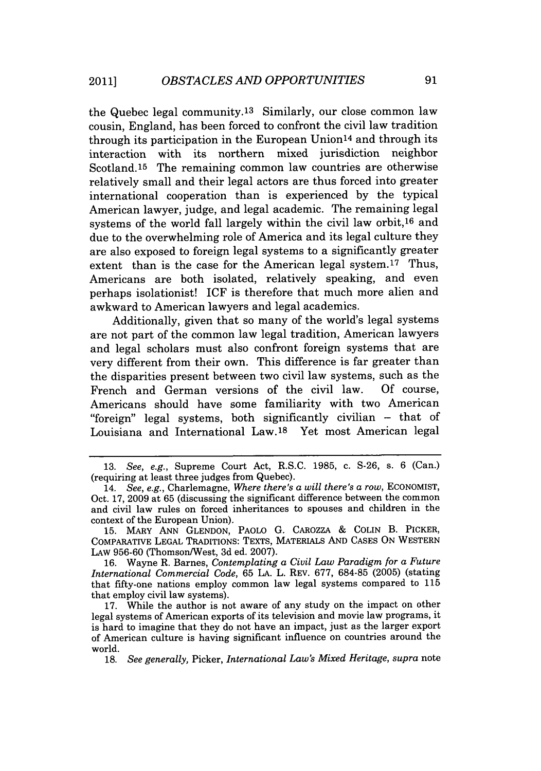the Quebec legal community. 13 Similarly, our close common law cousin, England, has been forced to confront the civil law tradition through its participation in the European Union14 and through its interaction with its northern mixed jurisdiction neighbor Scotland.15 The remaining common law countries are otherwise relatively small and their legal actors are thus forced into greater international cooperation than is experienced by the typical American lawyer, judge, and legal academic. The remaining legal systems of the world fall largely within the civil law orbit,16 and due to the overwhelming role of America and its legal culture they are also exposed to foreign legal systems to a significantly greater extent than is the case for the American legal system.<sup>17</sup> Thus, Americans are both isolated, relatively speaking, and even perhaps isolationist! ICF is therefore that much more alien and awkward to American lawyers and legal academics.

Additionally, given that so many of the world's legal systems are not part of the common law legal tradition, American lawyers and legal scholars must also confront foreign systems that are very different from their own. This difference is far greater than the disparities present between two civil law systems, such as the French and German versions of the civil law. Of course, Americans should have some familiarity with two American "foreign" legal systems, both significantly civilian - that of Louisiana and International Law.<sup>18</sup> Yet most American legal

15. MARY ANN GLENDON, PAOLO G. CAROZZA & COLIN B. PICKER, COMPARATIVE LEGAL TRADITIONS: TEXTS, MATERIALS AND CASES ON WESTERN LAW 956-60 (Thomson/West, 3d ed. 2007).

16. Wayne R. Barnes, *Contemplating a Civil Law Paradigm for a Future International Commercial Code,* 65 LA. L. REV. 677, 684-85 (2005) (stating that fifty-one nations employ common law legal systems compared to 115 that employ civil law systems).

17. While the author is not aware of any study on the impact on other legal systems of American exports of its television and movie law programs, it is hard to imagine that they do not have an impact, just as the larger export of American culture is having significant influence on countries around the world.

18. *See generally,* Picker, *International Law's Mixed Heritage, supra* note

<sup>13.</sup> See, e.g., Supreme Court Act, R.S.C. 1985, c. S-26, s. 6 (Can.) (requiring at least three judges from Quebec).

<sup>14.</sup> *See, e.g.,* Charlemagne, *Where there's a will there's a row,* ECONOMIST, Oct. 17, 2009 at 65 (discussing the significant difference between the common and civil law rules on forced inheritances to spouses and children in the context of the European Union).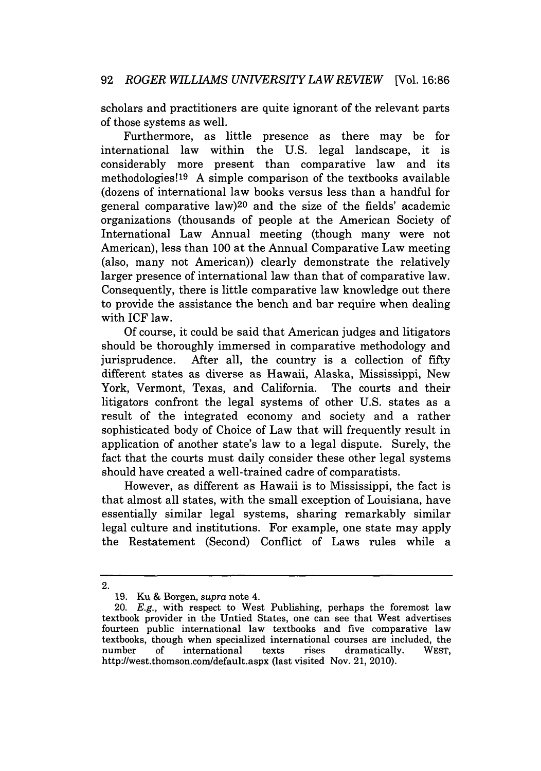scholars and practitioners are quite ignorant of the relevant parts of those systems as well.

Furthermore, as little presence as there may be for international law within the U.S. legal landscape, it is considerably more present than comparative law and its methodologies!19 A simple comparison of the textbooks available (dozens of international law books versus less than a handful for general comparative law)<sup>20</sup> and the size of the fields' academic organizations (thousands of people at the American Society of International Law Annual meeting (though many were not American), less than 100 at the Annual Comparative Law meeting (also, many not American)) clearly demonstrate the relatively larger presence of international law than that of comparative law. Consequently, there is little comparative law knowledge out there to provide the assistance the bench and bar require when dealing with ICF law.

Of course, it could be said that American judges and litigators should be thoroughly immersed in comparative methodology and jurisprudence. After all, the country is a collection of fifty different states as diverse as Hawaii, Alaska, Mississippi, New York, Vermont, Texas, and California. The courts and their litigators confront the legal systems of other U.S. states as a result of the integrated economy and society and a rather sophisticated body of Choice of Law that will frequently result in application of another state's law to a legal dispute. Surely, the fact that the courts must daily consider these other legal systems should have created a well-trained cadre of comparatists.

However, as different as Hawaii is to Mississippi, the fact is that almost all states, with the small exception of Louisiana, have essentially similar legal systems, sharing remarkably similar legal culture and institutions. For example, one state may apply the Restatement (Second) Conflict of Laws rules while a

<sup>2.</sup>

<sup>19.</sup> Ku & Borgen, *supra* note 4.

<sup>20.</sup> *E.g.,* with respect to West Publishing, perhaps the foremost law textbook provider in the Untied States, one can see that West advertises fourteen public international law textbooks and five comparative law textbooks, though when specialized international courses are included, the number of international texts rises dramatically. WEST, http://west.thomson.com/default.aspx (last visited Nov. 21, 2010).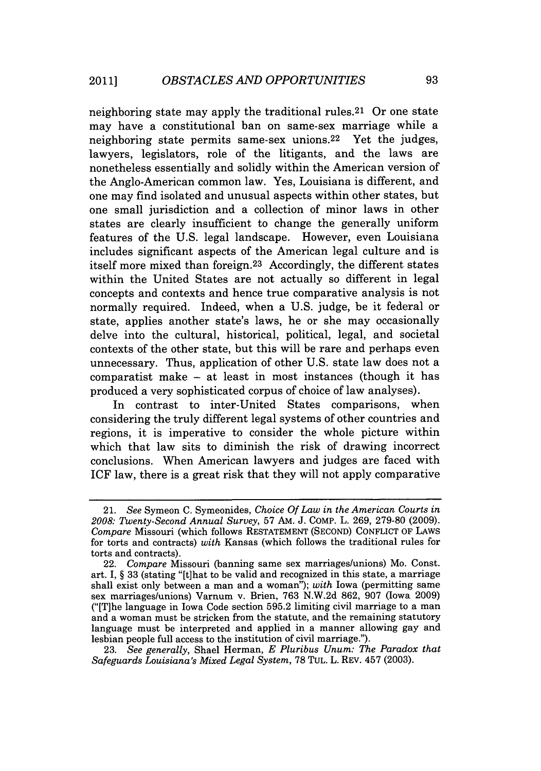neighboring state may apply the traditional rules.<sup>21</sup> Or one state may have a constitutional ban on same-sex marriage while a neighboring state permits same-sex unions.<sup>22</sup> Yet the judges, lawyers, legislators, role of the litigants, and the laws are nonetheless essentially and solidly within the American version of the Anglo-American common law. Yes, Louisiana is different, and one may find isolated and unusual aspects within other states, but one small jurisdiction and a collection of minor laws in other states are clearly insufficient to change the generally uniform features of the U.S. legal landscape. However, even Louisiana includes significant aspects of the American legal culture and is itself more mixed than foreign. 23 Accordingly, the different states within the United States are not actually so different in legal concepts and contexts and hence true comparative analysis is not normally required. Indeed, when a U.S. judge, be it federal or state, applies another state's laws, he or she may occasionally delve into the cultural, historical, political, legal, and societal contexts of the other state, but this will be rare and perhaps even unnecessary. Thus, application of other U.S. state law does not a comparatist make - at least in most instances (though it has produced a very sophisticated corpus of choice of law analyses).

In contrast to inter-United States comparisons, when considering the truly different legal systems of other countries and regions, it is imperative to consider the whole picture within which that law sits to diminish the risk of drawing incorrect conclusions. When American lawyers and judges are faced with ICF law, there is a great risk that they will not apply comparative

23. *See generally,* Shael Herman, *E Pluribus Unum: The Paradox that Safeguards Louisiana's Mixed Legal System,* 78 TUL. L. REV. 457 (2003).

<sup>21.</sup> *See* Symeon C. Symeonides, *Choice Of Law in the American Courts in 2008: Twenty-Second Annual Survey,* 57 AM. J. COMP. L. 269, 279-80 (2009). *Compare* Missouri (which follows RESTATEMENT (SECOND) CONFLICT OF LAWS for torts and contracts) *with* Kansas (which follows the traditional rules for torts and contracts).

<sup>22.</sup> *Compare* Missouri (banning same sex marriages/unions) Mo. Const. art. I, § 33 (stating "[t]hat to be valid and recognized in this state, a marriage shall exist only between a man and a woman"); *with* Iowa (permitting same sex marriages/unions) Varnum v. Brien, 763 N.W.2d 862, 907 (Iowa 2009) ("[T]he language in Iowa Code section 595.2 limiting civil marriage to a man and a woman must be stricken from the statute, and the remaining statutory language must be interpreted and applied in a manner allowing gay and lesbian people full access to the institution of civil marriage.").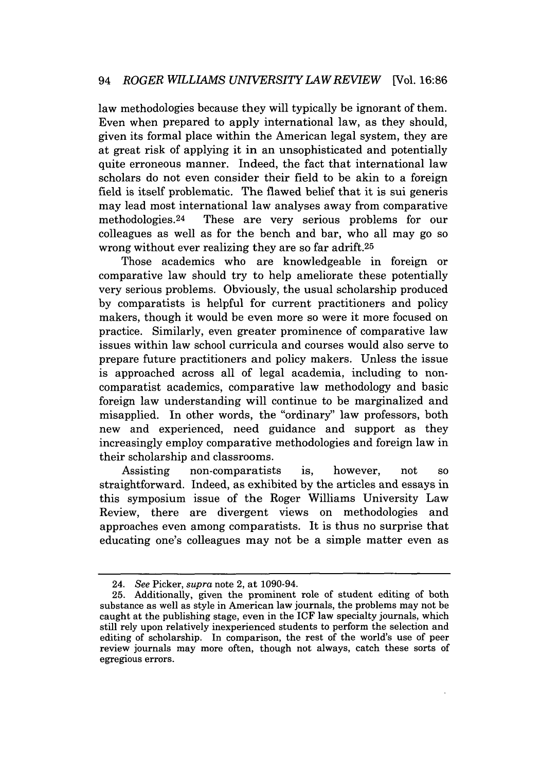law methodologies because they will typically be ignorant of them. Even when prepared to apply international law, as they should, given its formal place within the American legal system, they are at great risk of applying it in an unsophisticated and potentially quite erroneous manner. Indeed, the fact that international law scholars do not even consider their field to be akin to a foreign field is itself problematic. The flawed belief that it is sui generis may lead most international law analyses away from comparative methodologies. 24 These are very serious problems for our colleagues as well as for the bench and bar, who all may go so wrong without ever realizing they are so far adrift.25

Those academics who are knowledgeable in foreign or comparative law should try to help ameliorate these potentially very serious problems. Obviously, the usual scholarship produced by comparatists is helpful for current practitioners and policy makers, though it would be even more so were it more focused on practice. Similarly, even greater prominence of comparative law issues within law school curricula and courses would also serve to prepare future practitioners and policy makers. Unless the issue is approached across all of legal academia, including to noncomparatist academics, comparative law methodology and basic foreign law understanding will continue to be marginalized and misapplied. In other words, the "ordinary" law professors, both new and experienced, need guidance and support as they increasingly employ comparative methodologies and foreign law in their scholarship and classrooms.

Assisting non-comparatists is, however, not so straightforward. Indeed, as exhibited by the articles and essays in this symposium issue of the Roger Williams University Law Review, there are divergent views on methodologies and approaches even among comparatists. It is thus no surprise that educating one's colleagues may not be a simple matter even as

<sup>24.</sup> *See* Picker, *supra* note 2, at 1090-94.

<sup>25.</sup> Additionally, given the prominent role of student editing of both substance as well as style in American law journals, the problems may not be caught at the publishing stage, even in the ICF law specialty journals, which still rely upon relatively inexperienced students to perform the selection and editing of scholarship. In comparison, the rest of the world's use of peer review journals may more often, though not always, catch these sorts of egregious errors.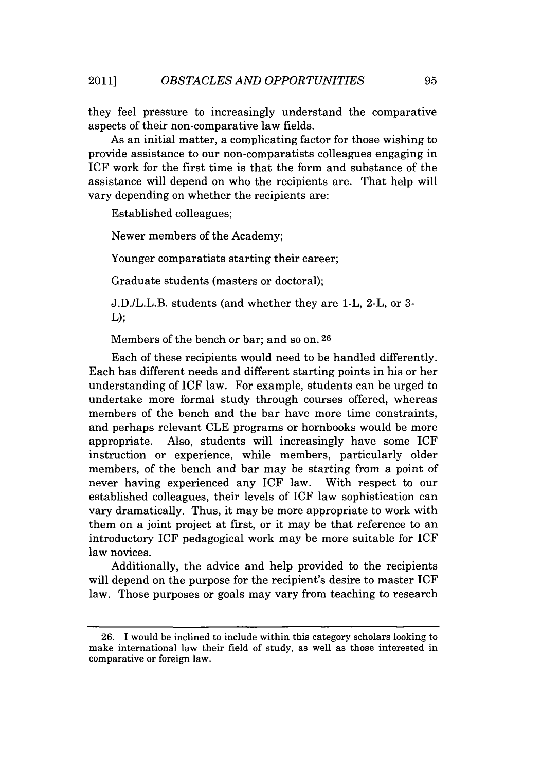they feel pressure to increasingly understand the comparative aspects of their non-comparative law fields.

As an initial matter, a complicating factor for those wishing to provide assistance to our non-comparatists colleagues engaging in ICF work for the first time is that the form and substance of the assistance will depend on who the recipients are. That help will vary depending on whether the recipients are:

Established colleagues;

Newer members of the Academy;

Younger comparatists starting their career;

Graduate students (masters or doctoral);

J.D./L.L.B. students (and whether they are 1-L, 2-L, or 3-  $L$ );

Members of the bench or bar; and so on. 26

Each of these recipients would need to be handled differently. Each has different needs and different starting points in his or her understanding of **ICF** law. For example, students can be urged to undertake more formal study through courses offered, whereas members of the bench and the bar have more time constraints, and perhaps relevant CLE programs or hornbooks would be more appropriate. Also, students will increasingly have some ICF instruction or experience, while members, particularly older members, of the bench and bar may be starting from a point of never having experienced any ICF law. With respect to our established colleagues, their levels of ICF law sophistication can vary dramatically. Thus, it may be more appropriate to work with them on a joint project at first, or it may be that reference to an introductory ICF pedagogical work may be more suitable for ICF law novices.

Additionally, the advice and help provided to the recipients will depend on the purpose for the recipient's desire to master ICF law. Those purposes or goals may vary from teaching to research

<sup>26.</sup> I would be inclined to include within this category scholars looking to make international law their field of study, as well as those interested in comparative or foreign law.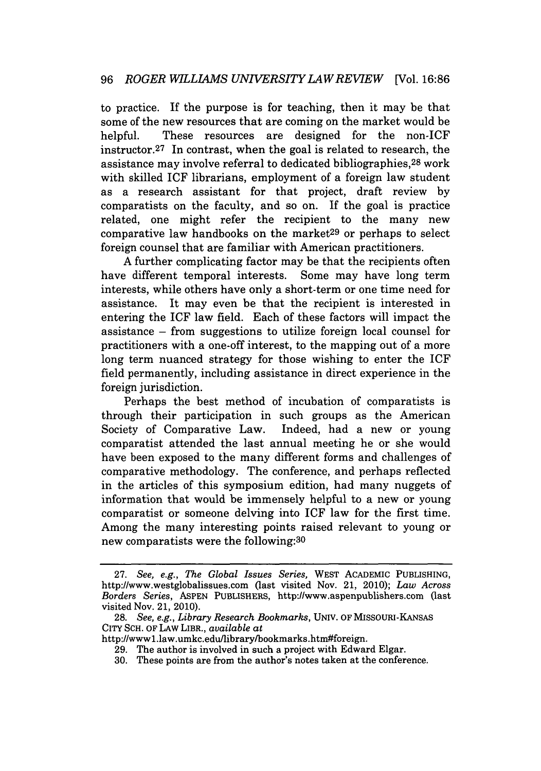to practice. If the purpose is for teaching, then it may be that some of the new resources that are coming on the market would be helpful. These resources are designed for the non-ICF instructor.<sup>27</sup> In contrast, when the goal is related to research, the assistance may involve referral to dedicated bibliographies, 28 work with skilled ICF librarians, employment of a foreign law student as a research assistant for that project, draft review by comparatists on the faculty, and so on. If the goal is practice related, one might refer the recipient to the many new comparative law handbooks on the market<sup>29</sup> or perhaps to select foreign counsel that are familiar with American practitioners.

A further complicating factor may be that the recipients often have different temporal interests. Some may have long term interests, while others have only a short-term or one time need for assistance. It may even be that the recipient is interested in entering the ICF law field. Each of these factors will impact the assistance - from suggestions to utilize foreign local counsel for practitioners with a one-off interest, to the mapping out of a more long term nuanced strategy for those wishing to enter the ICF field permanently, including assistance in direct experience in the foreign jurisdiction.

Perhaps the best method of incubation of comparatists is through their participation in such groups as the American Society of Comparative Law. Indeed, had a new or young comparatist attended the last annual meeting he or she would have been exposed to the many different forms and challenges of comparative methodology. The conference, and perhaps reflected in the articles of this symposium edition, had many nuggets of information that would be immensely helpful to a new or young comparatist or someone delving into ICF law for the first time. Among the many interesting points raised relevant to young or new comparatists were the following:30

**<sup>27.</sup>** *See, e.g., The Global Issues Series,* WEST ACADEMIC PUBLISHING, http://www.westglobalissues.com (last visited Nov. 21, 2010); *Law Across Borders Series,* ASPEN PUBLISHERS, http://www.aspenpublishers.com (last visited Nov. 21, 2010).

<sup>28.</sup> *See, e.g., Library Research Bookmarks,* UNIV. OF MISSOURI-KANSAS CITY SCH. OF LAW LIBR., *available at*

http://wwwl.law.umkc.edu/library/bookmarks.htm#foreign.

<sup>29.</sup> The author is involved in such a project with Edward Elgar.

<sup>30.</sup> These points are from the author's notes taken at the conference.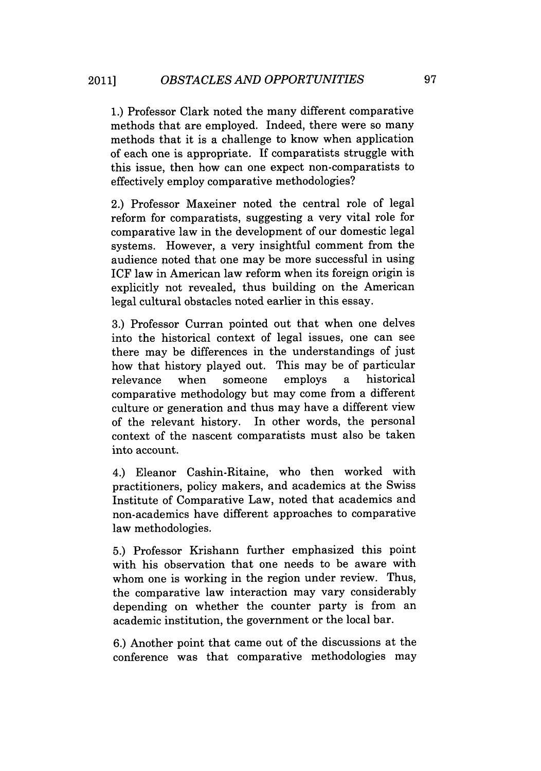1.) Professor Clark noted the many different comparative methods that are employed. Indeed, there were so many methods that it is a challenge to know when application of each one is appropriate. If comparatists struggle with this issue, then how can one expect non-comparatists to effectively employ comparative methodologies?

2.) Professor Maxeiner noted the central role of legal reform for comparatists, suggesting a very vital role for comparative law in the development of our domestic legal systems. However, a very insightful comment from the audience noted that one may be more successful in using ICF law in American law reform when its foreign origin is explicitly not revealed, thus building on the American legal cultural obstacles noted earlier in this essay.

3.) Professor Curran pointed out that when one delves into the historical context of legal issues, one can see there may be differences in the understandings of just how that history played out. This may be of particular relevance when someone employs a historical comparative methodology but may come from a different culture or generation and thus may have a different view of the relevant history. In other words, the personal context of the nascent comparatists must also be taken into account.

4.) Eleanor Cashin-Ritaine, who then worked with practitioners, policy makers, and academics at the Swiss Institute of Comparative Law, noted that academics and non-academics have different approaches to comparative law methodologies.

5.) Professor Krishann further emphasized this point with his observation that one needs to be aware with whom one is working in the region under review. Thus, the comparative law interaction may vary considerably depending on whether the counter party is from an academic institution, the government or the local bar.

6.) Another point that came out of the discussions at the conference was that comparative methodologies may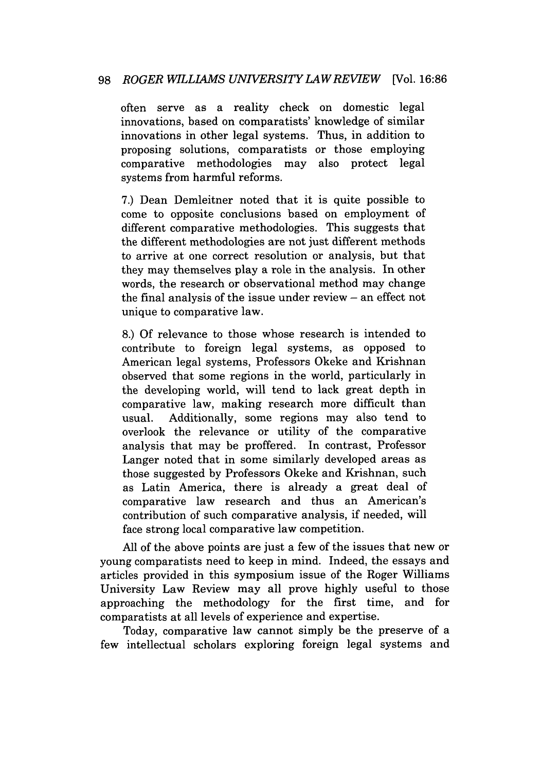often serve as a reality check on domestic legal innovations, based on comparatists' knowledge of similar innovations in other legal systems. Thus, in addition to proposing solutions, comparatists or those employing comparative methodologies may also protect legal systems from harmful reforms.

7.) Dean Demleitner noted that it is quite possible to come to opposite conclusions based on employment of different comparative methodologies. This suggests that the different methodologies are not just different methods to arrive at one correct resolution or analysis, but that they may themselves play a role in the analysis. In other words, the research or observational method may change the final analysis of the issue under review  $-$  an effect not unique to comparative law.

8.) Of relevance to those whose research is intended to contribute to foreign legal systems, as opposed to American legal systems, Professors Okeke and Krishnan observed that some regions in the world, particularly in the developing world, will tend to lack great depth in comparative law, making research more difficult than usual. Additionally, some regions may also tend to overlook the relevance or utility of the comparative analysis that may be proffered. In contrast, Professor Langer noted that in some similarly developed areas as those suggested by Professors Okeke and Krishnan, such as Latin America, there is already a great deal of comparative law research and thus an American's contribution of such comparative analysis, if needed, will face strong local comparative law competition.

All of the above points are just a few of the issues that new or young comparatists need to keep in mind. Indeed, the essays and articles provided in this symposium issue of the Roger Williams University Law Review may all prove highly useful to those approaching the methodology for the first time, and for comparatists at all levels of experience and expertise.

Today, comparative law cannot simply be the preserve of a few intellectual scholars exploring foreign legal systems and